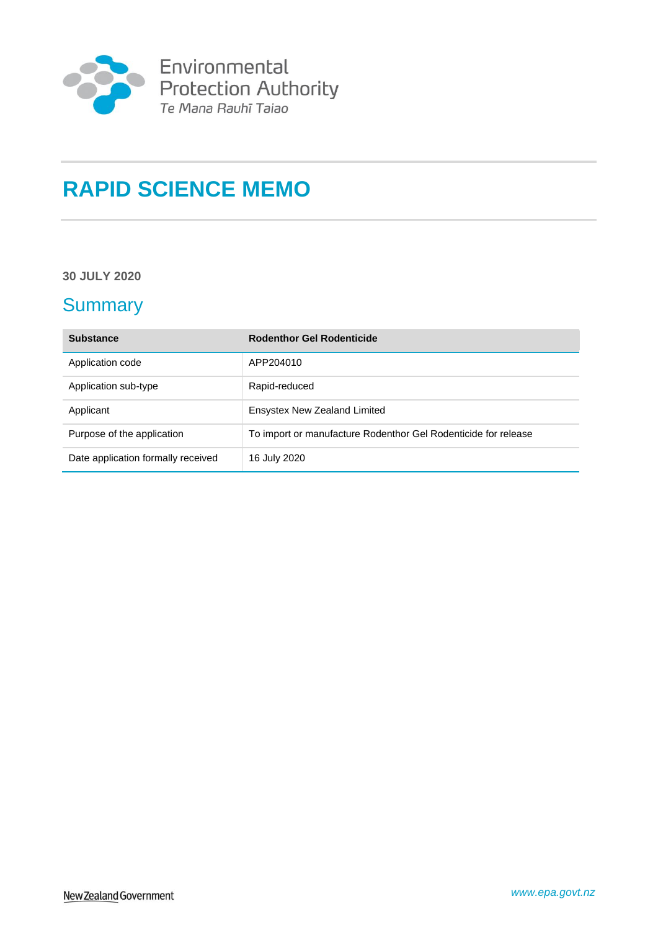

# **RAPID SCIENCE MEMO**

### **30 JULY 2020**

# **Summary**

| <b>Substance</b>                   | <b>Rodenthor Gel Rodenticide</b>                               |
|------------------------------------|----------------------------------------------------------------|
| Application code                   | APP204010                                                      |
| Application sub-type               | Rapid-reduced                                                  |
| Applicant                          | <b>Ensystex New Zealand Limited</b>                            |
| Purpose of the application         | To import or manufacture Rodenthor Gel Rodenticide for release |
| Date application formally received | 16 July 2020                                                   |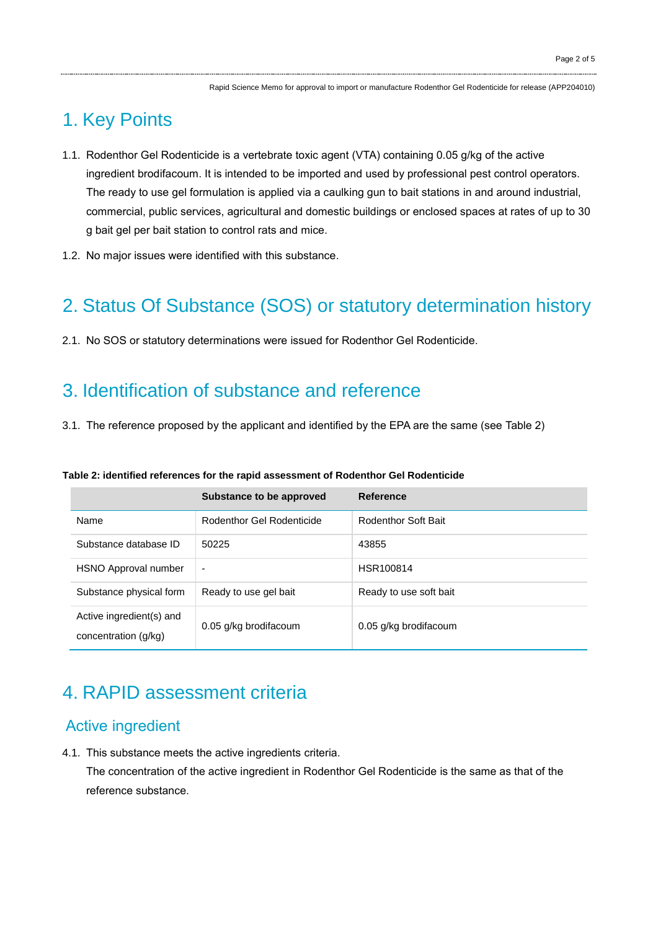# 1. Key Points

- 1.1. Rodenthor Gel Rodenticide is a vertebrate toxic agent (VTA) containing 0.05 g/kg of the active ingredient brodifacoum. It is intended to be imported and used by professional pest control operators. The ready to use gel formulation is applied via a caulking gun to bait stations in and around industrial, commercial, public services, agricultural and domestic buildings or enclosed spaces at rates of up to 30 g bait gel per bait station to control rats and mice.
- 1.2. No major issues were identified with this substance.

# 2. Status Of Substance (SOS) or statutory determination history

2.1. No SOS or statutory determinations were issued for Rodenthor Gel Rodenticide.

# 3. Identification of substance and reference

3.1. The reference proposed by the applicant and identified by the EPA are the same (see Table 2)

#### **Table 2: identified references for the rapid assessment of Rodenthor Gel Rodenticide**

|                                                  | Substance to be approved  | <b>Reference</b>       |
|--------------------------------------------------|---------------------------|------------------------|
| Name                                             | Rodenthor Gel Rodenticide | Rodenthor Soft Bait    |
| Substance database ID                            | 50225                     | 43855                  |
| HSNO Approval number                             | $\blacksquare$            | HSR100814              |
| Substance physical form                          | Ready to use gel bait     | Ready to use soft bait |
| Active ingredient(s) and<br>concentration (g/kg) | 0.05 g/kg brodifacoum     | 0.05 g/kg brodifacoum  |

## 4. RAPID assessment criteria

### Active ingredient

4.1. This substance meets the active ingredients criteria.

The concentration of the active ingredient in Rodenthor Gel Rodenticide is the same as that of the reference substance.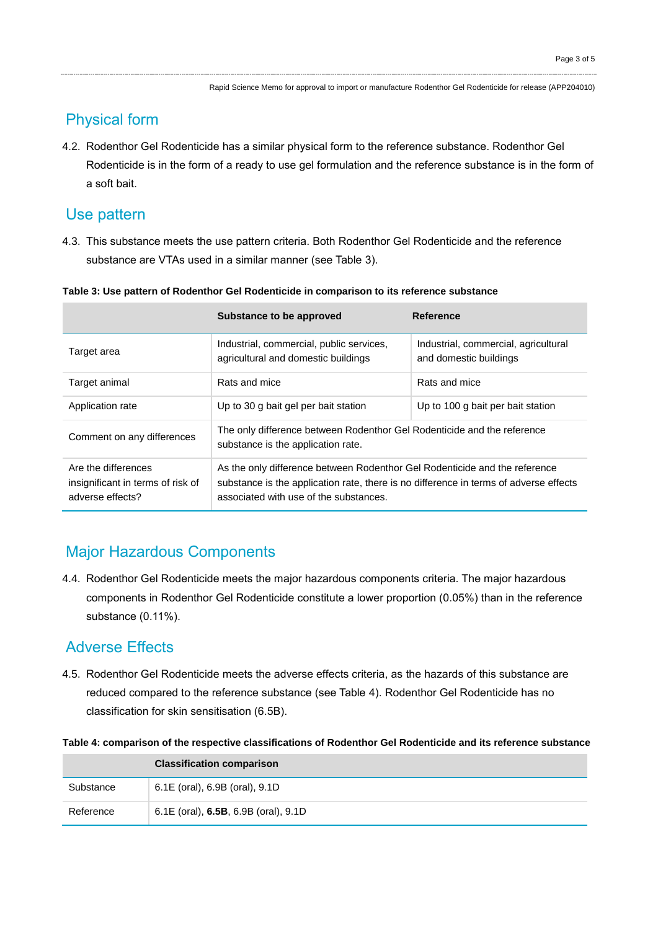## Physical form

4.2. Rodenthor Gel Rodenticide has a similar physical form to the reference substance. Rodenthor Gel Rodenticide is in the form of a ready to use gel formulation and the reference substance is in the form of a soft bait.

### Use pattern

4.3. This substance meets the use pattern criteria. Both Rodenthor Gel Rodenticide and the reference substance are VTAs used in a similar manner (see Table 3).

|                                                                              | Substance to be approved                                                                                                                                                                                      | <b>Reference</b>                                               |
|------------------------------------------------------------------------------|---------------------------------------------------------------------------------------------------------------------------------------------------------------------------------------------------------------|----------------------------------------------------------------|
| Target area                                                                  | Industrial, commercial, public services,<br>agricultural and domestic buildings                                                                                                                               | Industrial, commercial, agricultural<br>and domestic buildings |
| Target animal                                                                | Rats and mice                                                                                                                                                                                                 | Rats and mice                                                  |
| Application rate                                                             | Up to 30 g bait gel per bait station                                                                                                                                                                          | Up to 100 g bait per bait station                              |
| Comment on any differences                                                   | The only difference between Rodenthor Gel Rodenticide and the reference<br>substance is the application rate.                                                                                                 |                                                                |
| Are the differences<br>insignificant in terms of risk of<br>adverse effects? | As the only difference between Rodenthor Gel Rodenticide and the reference<br>substance is the application rate, there is no difference in terms of adverse effects<br>associated with use of the substances. |                                                                |

**Table 3: Use pattern of Rodenthor Gel Rodenticide in comparison to its reference substance**

## Major Hazardous Components

4.4. Rodenthor Gel Rodenticide meets the major hazardous components criteria. The major hazardous components in Rodenthor Gel Rodenticide constitute a lower proportion (0.05%) than in the reference substance (0.11%).

## Adverse Effects

4.5. Rodenthor Gel Rodenticide meets the adverse effects criteria, as the hazards of this substance are reduced compared to the reference substance (see Table 4). Rodenthor Gel Rodenticide has no classification for skin sensitisation (6.5B).

|           | <b>Classification comparison</b>     |  |
|-----------|--------------------------------------|--|
| Substance | 6.1E (oral), 6.9B (oral), 9.1D       |  |
| Reference | 6.1E (oral), 6.5B, 6.9B (oral), 9.1D |  |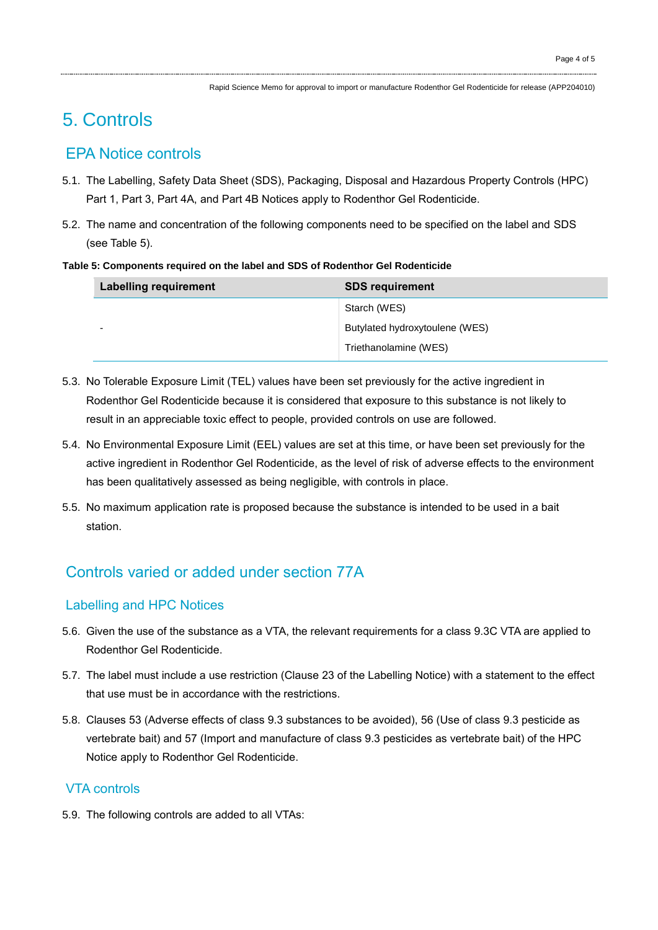Rapid Science Memo for approval to import or manufacture Rodenthor Gel Rodenticide for release (APP204010)

# 5. Controls

## EPA Notice controls

- 5.1. The Labelling, Safety Data Sheet (SDS), Packaging, Disposal and Hazardous Property Controls (HPC) Part 1, Part 3, Part 4A, and Part 4B Notices apply to Rodenthor Gel Rodenticide.
- 5.2. The name and concentration of the following components need to be specified on the label and SDS (see Table 5).

#### **Table 5: Components required on the label and SDS of Rodenthor Gel Rodenticide**

| <b>Labelling requirement</b> | <b>SDS requirement</b>         |
|------------------------------|--------------------------------|
|                              | Starch (WES)                   |
| -                            | Butylated hydroxytoulene (WES) |
|                              | Triethanolamine (WES)          |

- 5.3. No Tolerable Exposure Limit (TEL) values have been set previously for the active ingredient in Rodenthor Gel Rodenticide because it is considered that exposure to this substance is not likely to result in an appreciable toxic effect to people, provided controls on use are followed.
- 5.4. No Environmental Exposure Limit (EEL) values are set at this time, or have been set previously for the active ingredient in Rodenthor Gel Rodenticide, as the level of risk of adverse effects to the environment has been qualitatively assessed as being negligible, with controls in place.
- 5.5. No maximum application rate is proposed because the substance is intended to be used in a bait station.

## Controls varied or added under section 77A

### Labelling and HPC Notices

- 5.6. Given the use of the substance as a VTA, the relevant requirements for a class 9.3C VTA are applied to Rodenthor Gel Rodenticide.
- 5.7. The label must include a use restriction (Clause 23 of the Labelling Notice) with a statement to the effect that use must be in accordance with the restrictions.
- 5.8. Clauses 53 (Adverse effects of class 9.3 substances to be avoided), 56 (Use of class 9.3 pesticide as vertebrate bait) and 57 (Import and manufacture of class 9.3 pesticides as vertebrate bait) of the HPC Notice apply to Rodenthor Gel Rodenticide.

### VTA controls

5.9. The following controls are added to all VTAs: